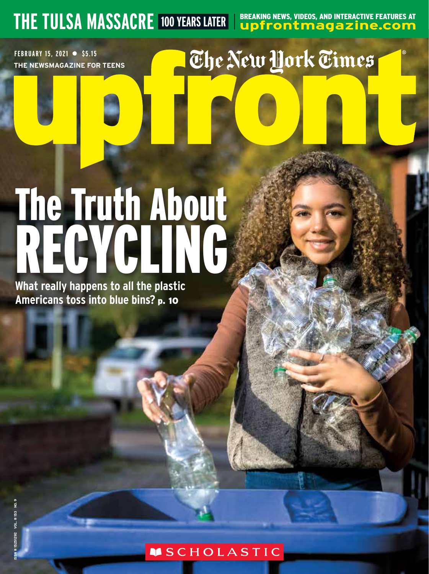**THE TULSA MASSACRE 100 YEARS LATER Upper agreem interactive features at upfrontmagazine.com** 

**FEBRUARY 15, 2021 ● \$5.15 THE NEWSMAGAZINE FOR TEENS**

## The New York Times

# FEBRUARY 15, 2021 • \$5.15<br>THE NEWSMAGAZINE FO<br> **ISSN AGAZINE FOR THE NEWSMAGAZINE FOR THE NEWSMAGAZINE FOR THE NEWSMAGAZINE FOR THE NEWS<br>
What really happe<br>
Americans toss in** RECYCLING The Truth About

**What really happens to all the plastic Americans toss into blue bins?** p. 10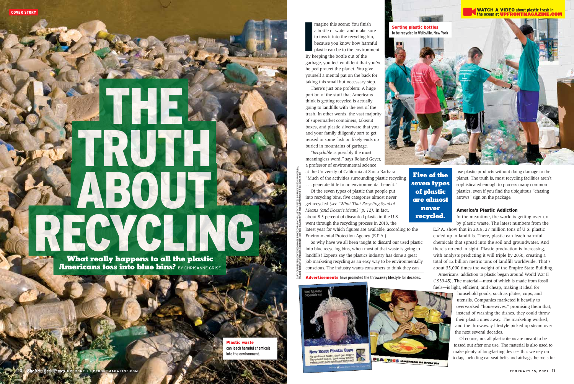# A ABOUT 3 THE TRUTH ABOUT RECYCLING.

 What really happens to all the plastic Americans toss into blue bins? BY CHRISANNE GRISÉ

> Plastic waste can leach harmful chemicals into the environment.

magine this scene: You finis<br>a bottle of water and make :<br>to toss it into the recycling b<br>because you know how har<br>plastic can be to the enviror<br>By keeping the bottle out of the magine this scene: You finish a bottle of water and make sure to toss it into the recycling bin, because you know how harmful plastic can be to the environment. garbage, you feel confident that you've helped protect the planet. You give yourself a mental pat on the back for taking this small but necessary step.

There's just one problem: A huge portion of the stuff that Americans think is getting recycled is actually going to landfills with the rest of the trash. In other words, the vast majority of supermarket containers, takeout boxes, and plastic silverware that you and your family diligently sort to get reused in some fashion likely ends up buried in mountains of garbage.

"*Recyclable* is possibly the most meaningless word," says Roland Geyer, a professor of environmental science

at the University of California at Santa Barbara. "Much of the activities surrounding plastic recycling . . . generate little to no environmental benefit."

Of the seven types of plastic that people put into recycling bins, five categories almost never get recycled *(see "What That Recycling Symbol Means (and Doesn't Mean)" p. 12)*. In fact, about 8.5 percent of discarded plastic in the U.S. went through the recycling process in 2018, the latest year for which figures are available, according to the Environmental Protection Agency (E.P.A.).

So why have we all been taught to discard our used plastic into blue recycling bins, when most of that waste is going to landfills? Experts say the plastics industry has done a great job marketing recycling as an easy way to be environmentally conscious. The industry wants consumers to think they can

#### Advertisements have promoted the throwaway lifestyle for decades.



Five of the seven types of plastic are almost never recycled.



use plastic products without doing damage to the planet. The truth is, most recycling facilities aren't sophisticated enough to process many common plastics, even if you find the ubiquitous "chasing arrows" sign on the package.

#### America's Plastic Addiction

In the meantime, the world is getting overrun by plastic waste. The latest numbers from the

E.P.A. show that in 2018, 27 million tons of U.S. plastic ended up in landfills. There, plastic can leach harmful chemicals that spread into the soil and groundwater. And there's no end in sight. Plastic production is increasing, with analysts predicting it will triple by 2050, creating a total of 12 billion metric tons of landfill worldwide. That's about 35,000 times the weight of the Empire State Building.

Americans' addiction to plastic began around World War II (1939-45). The material—most of which is made from fossil fuels—is light, efficient, and cheap, making it ideal for

> household goods, such as plates, cups, and utensils. Companies marketed it heavily to overworked "housewives," promising them that, instead of washing the dishes, they could throw their plastic ones away. The marketing worked, and the throwaway lifestyle picked up steam over the next several decades.

Of course, not all plastic items are meant to be tossed out after one use. The material is also used to make plenty of long-lasting devices that we rely on today, including car seat belts and airbags, helmets for